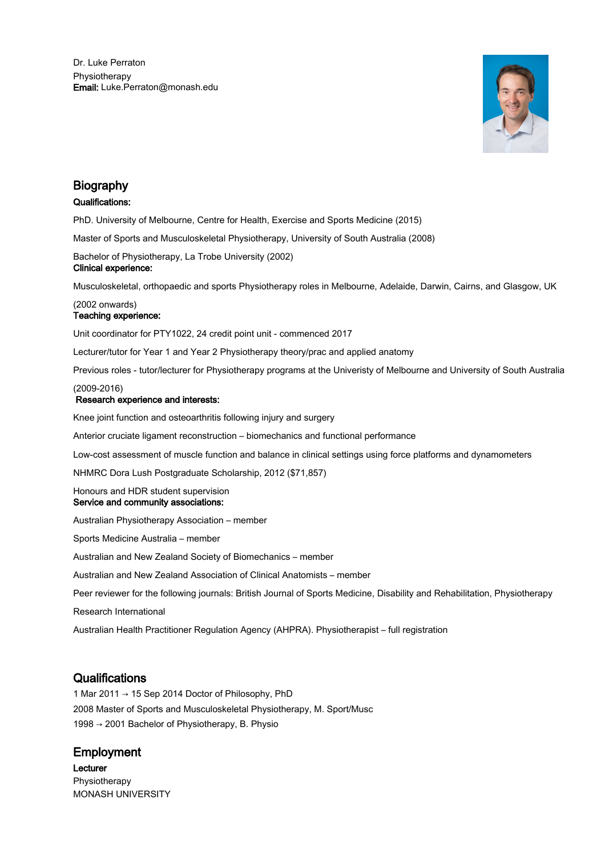

# Biography

# Qualifications:

PhD. University of Melbourne, Centre for Health, Exercise and Sports Medicine (2015)

Master of Sports and Musculoskeletal Physiotherapy, University of South Australia (2008)

Bachelor of Physiotherapy, La Trobe University (2002) Clinical experience:

Musculoskeletal, orthopaedic and sports Physiotherapy roles in Melbourne, Adelaide, Darwin, Cairns, and Glasgow, UK

# (2002 onwards) Teaching experience:

Unit coordinator for PTY1022, 24 credit point unit - commenced 2017

Lecturer/tutor for Year 1 and Year 2 Physiotherapy theory/prac and applied anatomy

Previous roles - tutor/lecturer for Physiotherapy programs at the Univeristy of Melbourne and University of South Australia

### (2009-2016)

# Research experience and interests:

Knee joint function and osteoarthritis following injury and surgery

Anterior cruciate ligament reconstruction – biomechanics and functional performance

Low-cost assessment of muscle function and balance in clinical settings using force platforms and dynamometers

NHMRC Dora Lush Postgraduate Scholarship, 2012 (\$71,857)

Honours and HDR student supervision Service and community associations:

Australian Physiotherapy Association – member

Sports Medicine Australia – member

Australian and New Zealand Society of Biomechanics – member

Australian and New Zealand Association of Clinical Anatomists – member

Peer reviewer for the following journals: British Journal of Sports Medicine, Disability and Rehabilitation, Physiotherapy

Research International

Australian Health Practitioner Regulation Agency (AHPRA). Physiotherapist – full registration

# **Qualifications**

1 Mar 2011 → 15 Sep 2014 Doctor of Philosophy, PhD 2008 Master of Sports and Musculoskeletal Physiotherapy, M. Sport/Musc 1998 → 2001 Bachelor of Physiotherapy, B. Physio

# Employment

Lecturer Physiotherapy MONASH UNIVERSITY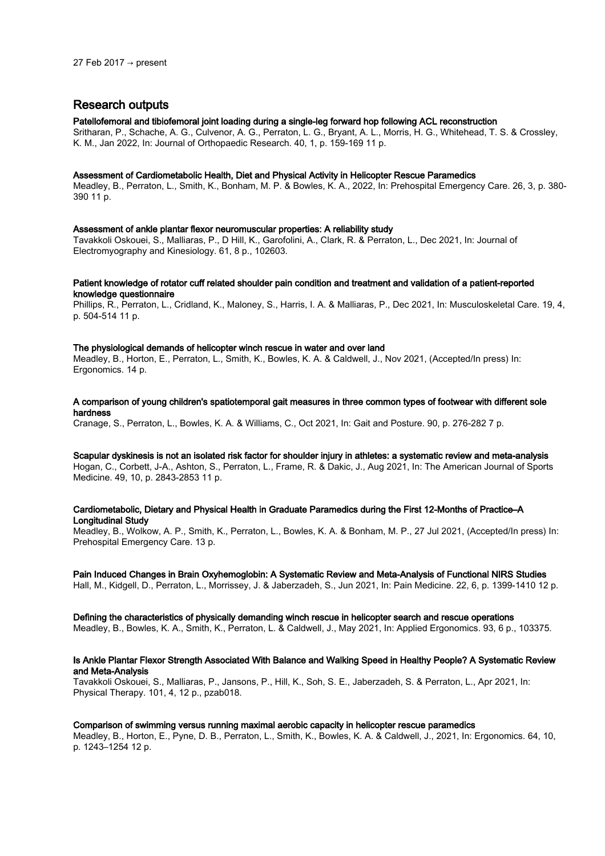# Research outputs

#### Patellofemoral and tibiofemoral joint loading during a single-leg forward hop following ACL reconstruction

Sritharan, P., Schache, A. G., Culvenor, A. G., Perraton, L. G., Bryant, A. L., Morris, H. G., Whitehead, T. S. & Crossley, K. M., Jan 2022, In: Journal of Orthopaedic Research. 40, 1, p. 159-169 11 p.

#### Assessment of Cardiometabolic Health, Diet and Physical Activity in Helicopter Rescue Paramedics

Meadley, B., Perraton, L., Smith, K., Bonham, M. P. & Bowles, K. A., 2022, In: Prehospital Emergency Care. 26, 3, p. 380- 390 11 p.

#### Assessment of ankle plantar flexor neuromuscular properties: A reliability study

Tavakkoli Oskouei, S., Malliaras, P., D Hill, K., Garofolini, A., Clark, R. & Perraton, L., Dec 2021, In: Journal of Electromyography and Kinesiology. 61, 8 p., 102603.

#### Patient knowledge of rotator cuff related shoulder pain condition and treatment and validation of a patient-reported knowledge questionnaire

Phillips, R., Perraton, L., Cridland, K., Maloney, S., Harris, I. A. & Malliaras, P., Dec 2021, In: Musculoskeletal Care. 19, 4, p. 504-514 11 p.

#### The physiological demands of helicopter winch rescue in water and over land

Meadley, B., Horton, E., Perraton, L., Smith, K., Bowles, K. A. & Caldwell, J., Nov 2021, (Accepted/In press) In: Ergonomics. 14 p.

#### A comparison of young children's spatiotemporal gait measures in three common types of footwear with different sole hardness

Cranage, S., Perraton, L., Bowles, K. A. & Williams, C., Oct 2021, In: Gait and Posture. 90, p. 276-282 7 p.

# Scapular dyskinesis is not an isolated risk factor for shoulder injury in athletes: a systematic review and meta-analysis

Hogan, C., Corbett, J-A., Ashton, S., Perraton, L., Frame, R. & Dakic, J., Aug 2021, In: The American Journal of Sports Medicine. 49, 10, p. 2843-2853 11 p.

#### Cardiometabolic, Dietary and Physical Health in Graduate Paramedics during the First 12-Months of Practice–A Longitudinal Study

Meadley, B., Wolkow, A. P., Smith, K., Perraton, L., Bowles, K. A. & Bonham, M. P., 27 Jul 2021, (Accepted/In press) In: Prehospital Emergency Care. 13 p.

#### Pain Induced Changes in Brain Oxyhemoglobin: A Systematic Review and Meta-Analysis of Functional NIRS Studies

Hall, M., Kidgell, D., Perraton, L., Morrissey, J. & Jaberzadeh, S., Jun 2021, In: Pain Medicine. 22, 6, p. 1399-1410 12 p.

#### Defining the characteristics of physically demanding winch rescue in helicopter search and rescue operations

Meadley, B., Bowles, K. A., Smith, K., Perraton, L. & Caldwell, J., May 2021, In: Applied Ergonomics. 93, 6 p., 103375.

#### Is Ankle Plantar Flexor Strength Associated With Balance and Walking Speed in Healthy People? A Systematic Review and Meta-Analysis

Tavakkoli Oskouei, S., Malliaras, P., Jansons, P., Hill, K., Soh, S. E., Jaberzadeh, S. & Perraton, L., Apr 2021, In: Physical Therapy. 101, 4, 12 p., pzab018.

#### Comparison of swimming versus running maximal aerobic capacity in helicopter rescue paramedics

Meadley, B., Horton, E., Pyne, D. B., Perraton, L., Smith, K., Bowles, K. A. & Caldwell, J., 2021, In: Ergonomics. 64, 10, p. 1243–1254 12 p.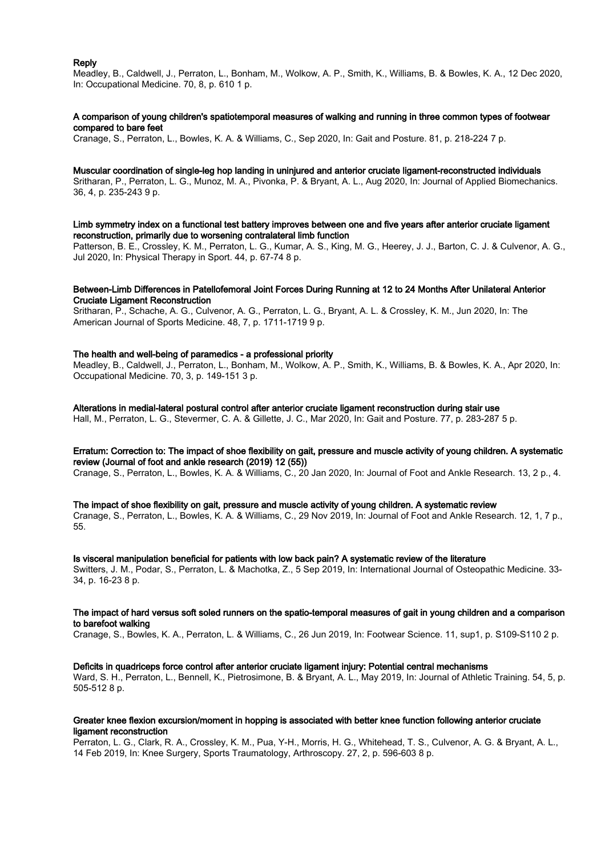#### Reply

Meadley, B., Caldwell, J., Perraton, L., Bonham, M., Wolkow, A. P., Smith, K., Williams, B. & Bowles, K. A., 12 Dec 2020, In: Occupational Medicine. 70, 8, p. 610 1 p.

#### A comparison of young children's spatiotemporal measures of walking and running in three common types of footwear compared to bare feet

Cranage, S., Perraton, L., Bowles, K. A. & Williams, C., Sep 2020, In: Gait and Posture. 81, p. 218-224 7 p.

#### Muscular coordination of single-leg hop landing in uninjured and anterior cruciate ligament-reconstructed individuals

Sritharan, P., Perraton, L. G., Munoz, M. A., Pivonka, P. & Bryant, A. L., Aug 2020, In: Journal of Applied Biomechanics. 36, 4, p. 235-243 9 p.

#### Limb symmetry index on a functional test battery improves between one and five years after anterior cruciate ligament reconstruction, primarily due to worsening contralateral limb function

Patterson, B. E., Crossley, K. M., Perraton, L. G., Kumar, A. S., King, M. G., Heerey, J. J., Barton, C. J. & Culvenor, A. G., Jul 2020, In: Physical Therapy in Sport. 44, p. 67-74 8 p.

#### Between-Limb Differences in Patellofemoral Joint Forces During Running at 12 to 24 Months After Unilateral Anterior Cruciate Ligament Reconstruction

Sritharan, P., Schache, A. G., Culvenor, A. G., Perraton, L. G., Bryant, A. L. & Crossley, K. M., Jun 2020, In: The American Journal of Sports Medicine. 48, 7, p. 1711-1719 9 p.

#### The health and well-being of paramedics - a professional priority

Meadley, B., Caldwell, J., Perraton, L., Bonham, M., Wolkow, A. P., Smith, K., Williams, B. & Bowles, K. A., Apr 2020, In: Occupational Medicine. 70, 3, p. 149-151 3 p.

#### Alterations in medial-lateral postural control after anterior cruciate ligament reconstruction during stair use Hall, M., Perraton, L. G., Stevermer, C. A. & Gillette, J. C., Mar 2020, In: Gait and Posture. 77, p. 283-287 5 p.

#### Erratum: Correction to: The impact of shoe flexibility on gait, pressure and muscle activity of young children. A systematic review (Journal of foot and ankle research (2019) 12 (55))

Cranage, S., Perraton, L., Bowles, K. A. & Williams, C., 20 Jan 2020, In: Journal of Foot and Ankle Research. 13, 2 p., 4.

#### The impact of shoe flexibility on gait, pressure and muscle activity of young children. A systematic review

Cranage, S., Perraton, L., Bowles, K. A. & Williams, C., 29 Nov 2019, In: Journal of Foot and Ankle Research. 12, 1, 7 p., 55.

#### Is visceral manipulation beneficial for patients with low back pain? A systematic review of the literature

Switters, J. M., Podar, S., Perraton, L. & Machotka, Z., 5 Sep 2019, In: International Journal of Osteopathic Medicine. 33- 34, p. 16-23 8 p.

#### The impact of hard versus soft soled runners on the spatio-temporal measures of gait in young children and a comparison to barefoot walking

Cranage, S., Bowles, K. A., Perraton, L. & Williams, C., 26 Jun 2019, In: Footwear Science. 11, sup1, p. S109-S110 2 p.

#### Deficits in quadriceps force control after anterior cruciate ligament injury: Potential central mechanisms

Ward, S. H., Perraton, L., Bennell, K., Pietrosimone, B. & Bryant, A. L., May 2019, In: Journal of Athletic Training. 54, 5, p. 505-512 8 p.

#### Greater knee flexion excursion/moment in hopping is associated with better knee function following anterior cruciate ligament reconstruction

Perraton, L. G., Clark, R. A., Crossley, K. M., Pua, Y-H., Morris, H. G., Whitehead, T. S., Culvenor, A. G. & Bryant, A. L., 14 Feb 2019, In: Knee Surgery, Sports Traumatology, Arthroscopy. 27, 2, p. 596-603 8 p.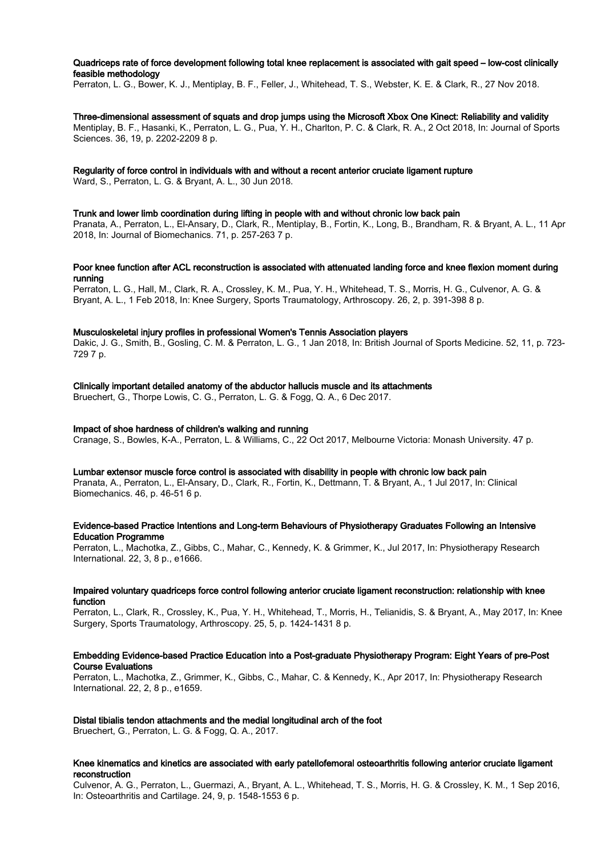#### Quadriceps rate of force development following total knee replacement is associated with gait speed – low-cost clinically feasible methodology

Perraton, L. G., Bower, K. J., Mentiplay, B. F., Feller, J., Whitehead, T. S., Webster, K. E. & Clark, R., 27 Nov 2018.

#### Three-dimensional assessment of squats and drop jumps using the Microsoft Xbox One Kinect: Reliability and validity

Mentiplay, B. F., Hasanki, K., Perraton, L. G., Pua, Y. H., Charlton, P. C. & Clark, R. A., 2 Oct 2018, In: Journal of Sports Sciences. 36, 19, p. 2202-2209 8 p.

#### Regularity of force control in individuals with and without a recent anterior cruciate ligament rupture

Ward, S., Perraton, L. G. & Bryant, A. L., 30 Jun 2018.

#### Trunk and lower limb coordination during lifting in people with and without chronic low back pain

Pranata, A., Perraton, L., El-Ansary, D., Clark, R., Mentiplay, B., Fortin, K., Long, B., Brandham, R. & Bryant, A. L., 11 Apr 2018, In: Journal of Biomechanics. 71, p. 257-263 7 p.

#### Poor knee function after ACL reconstruction is associated with attenuated landing force and knee flexion moment during running

Perraton, L. G., Hall, M., Clark, R. A., Crossley, K. M., Pua, Y. H., Whitehead, T. S., Morris, H. G., Culvenor, A. G. & Bryant, A. L., 1 Feb 2018, In: Knee Surgery, Sports Traumatology, Arthroscopy. 26, 2, p. 391-398 8 p.

# Musculoskeletal injury profiles in professional Women's Tennis Association players

Dakic, J. G., Smith, B., Gosling, C. M. & Perraton, L. G., 1 Jan 2018, In: British Journal of Sports Medicine. 52, 11, p. 723- 729 7 p.

#### Clinically important detailed anatomy of the abductor hallucis muscle and its attachments

Bruechert, G., Thorpe Lowis, C. G., Perraton, L. G. & Fogg, Q. A., 6 Dec 2017.

### Impact of shoe hardness of children's walking and running

Cranage, S., Bowles, K-A., Perraton, L. & Williams, C., 22 Oct 2017, Melbourne Victoria: Monash University. 47 p.

#### Lumbar extensor muscle force control is associated with disability in people with chronic low back pain

Pranata, A., Perraton, L., El-Ansary, D., Clark, R., Fortin, K., Dettmann, T. & Bryant, A., 1 Jul 2017, In: Clinical Biomechanics. 46, p. 46-51 6 p.

#### Evidence-based Practice Intentions and Long-term Behaviours of Physiotherapy Graduates Following an Intensive Education Programme

Perraton, L., Machotka, Z., Gibbs, C., Mahar, C., Kennedy, K. & Grimmer, K., Jul 2017, In: Physiotherapy Research International. 22, 3, 8 p., e1666.

#### Impaired voluntary quadriceps force control following anterior cruciate ligament reconstruction: relationship with knee function

Perraton, L., Clark, R., Crossley, K., Pua, Y. H., Whitehead, T., Morris, H., Telianidis, S. & Bryant, A., May 2017, In: Knee Surgery, Sports Traumatology, Arthroscopy. 25, 5, p. 1424-1431 8 p.

#### Embedding Evidence-based Practice Education into a Post-graduate Physiotherapy Program: Eight Years of pre-Post Course Evaluations

Perraton, L., Machotka, Z., Grimmer, K., Gibbs, C., Mahar, C. & Kennedy, K., Apr 2017, In: Physiotherapy Research International. 22, 2, 8 p., e1659.

#### Distal tibialis tendon attachments and the medial longitudinal arch of the foot

Bruechert, G., Perraton, L. G. & Fogg, Q. A., 2017.

#### Knee kinematics and kinetics are associated with early patellofemoral osteoarthritis following anterior cruciate ligament reconstruction

Culvenor, A. G., Perraton, L., Guermazi, A., Bryant, A. L., Whitehead, T. S., Morris, H. G. & Crossley, K. M., 1 Sep 2016, In: Osteoarthritis and Cartilage. 24, 9, p. 1548-1553 6 p.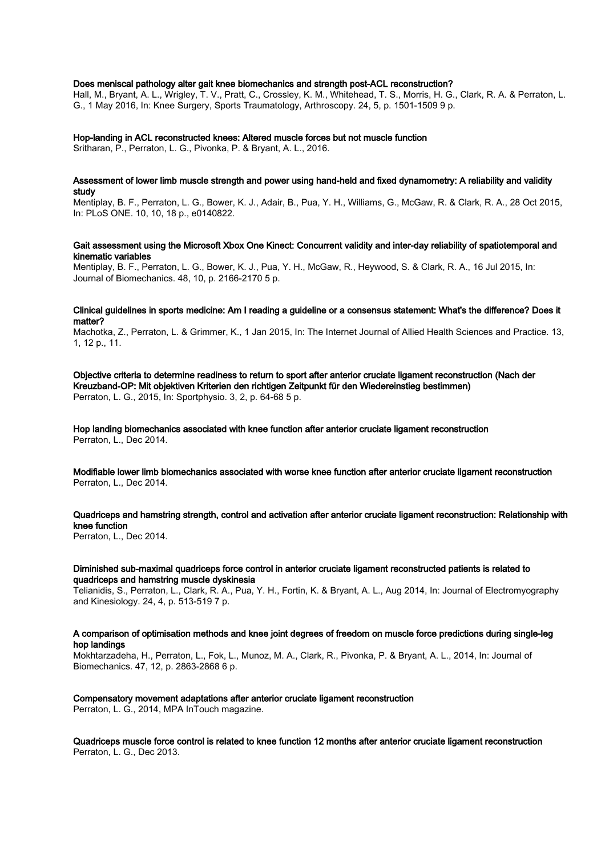#### Does meniscal pathology alter gait knee biomechanics and strength post-ACL reconstruction?

Hall, M., Bryant, A. L., Wrigley, T. V., Pratt, C., Crossley, K. M., Whitehead, T. S., Morris, H. G., Clark, R. A. & Perraton, L. G., 1 May 2016, In: Knee Surgery, Sports Traumatology, Arthroscopy. 24, 5, p. 1501-1509 9 p.

#### Hop-landing in ACL reconstructed knees: Altered muscle forces but not muscle function

Sritharan, P., Perraton, L. G., Pivonka, P. & Bryant, A. L., 2016.

#### Assessment of lower limb muscle strength and power using hand-held and fixed dynamometry: A reliability and validity study

Mentiplay, B. F., Perraton, L. G., Bower, K. J., Adair, B., Pua, Y. H., Williams, G., McGaw, R. & Clark, R. A., 28 Oct 2015, In: PLoS ONE. 10, 10, 18 p., e0140822.

#### Gait assessment using the Microsoft Xbox One Kinect: Concurrent validity and inter-day reliability of spatiotemporal and kinematic variables

Mentiplay, B. F., Perraton, L. G., Bower, K. J., Pua, Y. H., McGaw, R., Heywood, S. & Clark, R. A., 16 Jul 2015, In: Journal of Biomechanics. 48, 10, p. 2166-2170 5 p.

#### Clinical guidelines in sports medicine: Am I reading a guideline or a consensus statement: What's the difference? Does it matter?

Machotka, Z., Perraton, L. & Grimmer, K., 1 Jan 2015, In: The Internet Journal of Allied Health Sciences and Practice. 13, 1, 12 p., 11.

Objective criteria to determine readiness to return to sport after anterior cruciate ligament reconstruction (Nach der Kreuzband-OP: Mit objektiven Kriterien den richtigen Zeitpunkt für den Wiedereinstieg bestimmen) Perraton, L. G., 2015, In: Sportphysio. 3, 2, p. 64-68 5 p.

Hop landing biomechanics associated with knee function after anterior cruciate ligament reconstruction Perraton, L., Dec 2014.

Modifiable lower limb biomechanics associated with worse knee function after anterior cruciate ligament reconstruction Perraton, L., Dec 2014.

Quadriceps and hamstring strength, control and activation after anterior cruciate ligament reconstruction: Relationship with knee function

Perraton, L., Dec 2014.

#### Diminished sub-maximal quadriceps force control in anterior cruciate ligament reconstructed patients is related to quadriceps and hamstring muscle dyskinesia

Telianidis, S., Perraton, L., Clark, R. A., Pua, Y. H., Fortin, K. & Bryant, A. L., Aug 2014, In: Journal of Electromyography and Kinesiology. 24, 4, p. 513-519 7 p.

#### A comparison of optimisation methods and knee joint degrees of freedom on muscle force predictions during single-leg hop landings

Mokhtarzadeha, H., Perraton, L., Fok, L., Munoz, M. A., Clark, R., Pivonka, P. & Bryant, A. L., 2014, In: Journal of Biomechanics. 47, 12, p. 2863-2868 6 p.

Compensatory movement adaptations after anterior cruciate ligament reconstruction

Perraton, L. G., 2014, MPA InTouch magazine.

Quadriceps muscle force control is related to knee function 12 months after anterior cruciate ligament reconstruction Perraton, L. G., Dec 2013.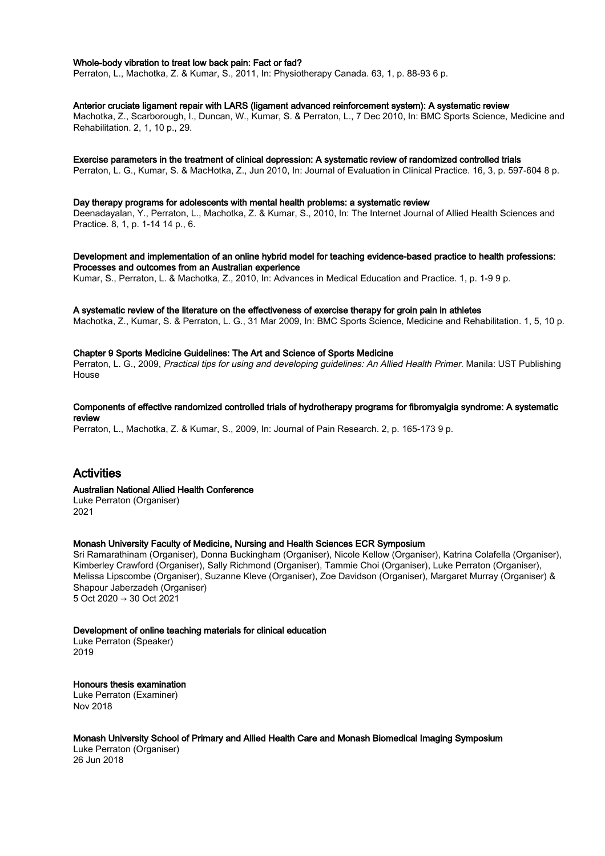#### Whole-body vibration to treat low back pain: Fact or fad?

Perraton, L., Machotka, Z. & Kumar, S., 2011, In: Physiotherapy Canada. 63, 1, p. 88-93 6 p.

#### Anterior cruciate ligament repair with LARS (ligament advanced reinforcement system): A systematic review

Machotka, Z., Scarborough, I., Duncan, W., Kumar, S. & Perraton, L., 7 Dec 2010, In: BMC Sports Science, Medicine and Rehabilitation. 2, 1, 10 p., 29.

#### Exercise parameters in the treatment of clinical depression: A systematic review of randomized controlled trials

Perraton, L. G., Kumar, S. & MacHotka, Z., Jun 2010, In: Journal of Evaluation in Clinical Practice. 16, 3, p. 597-604 8 p.

#### Day therapy programs for adolescents with mental health problems: a systematic review

Deenadayalan, Y., Perraton, L., Machotka, Z. & Kumar, S., 2010, In: The Internet Journal of Allied Health Sciences and Practice. 8, 1, p. 1-14 14 p., 6.

Development and implementation of an online hybrid model for teaching evidence-based practice to health professions: Processes and outcomes from an Australian experience

Kumar, S., Perraton, L. & Machotka, Z., 2010, In: Advances in Medical Education and Practice. 1, p. 1-9 9 p.

#### A systematic review of the literature on the effectiveness of exercise therapy for groin pain in athletes

Machotka, Z., Kumar, S. & Perraton, L. G., 31 Mar 2009, In: BMC Sports Science, Medicine and Rehabilitation. 1, 5, 10 p.

#### Chapter 9 Sports Medicine Guidelines: The Art and Science of Sports Medicine

Perraton, L. G., 2009, Practical tips for using and developing guidelines: An Allied Health Primer. Manila: UST Publishing House

#### Components of effective randomized controlled trials of hydrotherapy programs for fibromyalgia syndrome: A systematic review

Perraton, L., Machotka, Z. & Kumar, S., 2009, In: Journal of Pain Research. 2, p. 165-173 9 p.

# Activities

#### Australian National Allied Health Conference

Luke Perraton (Organiser) 2021

#### Monash University Faculty of Medicine, Nursing and Health Sciences ECR Symposium

Sri Ramarathinam (Organiser), Donna Buckingham (Organiser), Nicole Kellow (Organiser), Katrina Colafella (Organiser), Kimberley Crawford (Organiser), Sally Richmond (Organiser), Tammie Choi (Organiser), Luke Perraton (Organiser), Melissa Lipscombe (Organiser), Suzanne Kleve (Organiser), Zoe Davidson (Organiser), Margaret Murray (Organiser) & Shapour Jaberzadeh (Organiser) 5 Oct 2020 → 30 Oct 2021

#### Development of online teaching materials for clinical education

Luke Perraton (Speaker) 2019

#### Honours thesis examination

Luke Perraton (Examiner) Nov 2018

Monash University School of Primary and Allied Health Care and Monash Biomedical Imaging Symposium

Luke Perraton (Organiser) 26 Jun 2018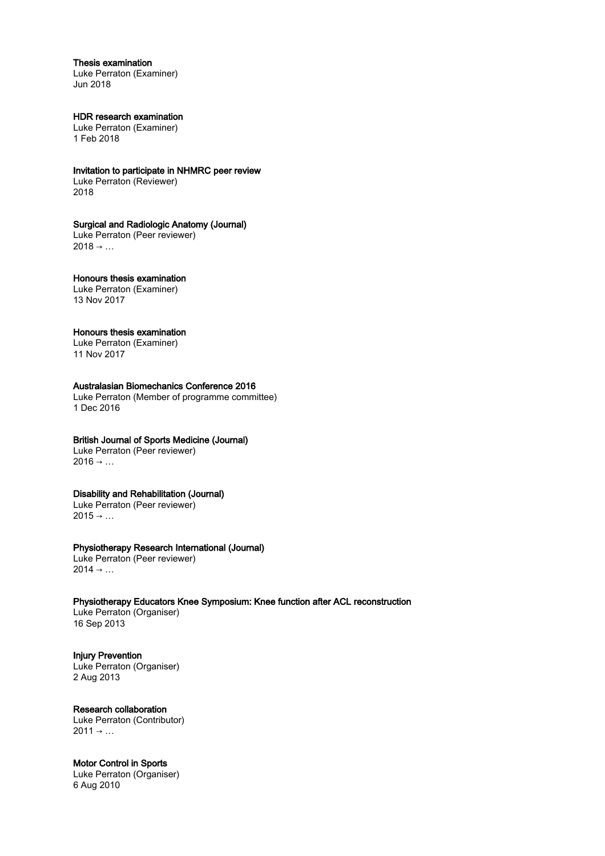#### Thesis examination

Luke Perraton (Examiner) Jun 2018

#### HDR research examination Luke Perraton (Examiner)

1 Feb 2018

### Invitation to participate in NHMRC peer review

Luke Perraton (Reviewer) 2018

### Surgical and Radiologic Anatomy (Journal)

Luke Perraton (Peer reviewer)  $2018 \rightarrow ...$ 

#### Honours thesis examination Luke Perraton (Examiner) 13 Nov 2017

# Honours thesis examination

Luke Perraton (Examiner) 11 Nov 2017

# Australasian Biomechanics Conference 2016

Luke Perraton (Member of programme committee) 1 Dec 2016

# British Journal of Sports Medicine (Journal)

Luke Perraton (Peer reviewer)  $2016 \rightarrow ...$ 

# Disability and Rehabilitation (Journal)

Luke Perraton (Peer reviewer)  $2015 \rightarrow ...$ 

### Physiotherapy Research International (Journal)

Luke Perraton (Peer reviewer)  $2014 \rightarrow ...$ 

### Physiotherapy Educators Knee Symposium: Knee function after ACL reconstruction

Luke Perraton (Organiser) 16 Sep 2013

Injury Prevention Luke Perraton (Organiser) 2 Aug 2013

# Research collaboration

Luke Perraton (Contributor)  $2011 \rightarrow ...$ 

# Motor Control in Sports

Luke Perraton (Organiser) 6 Aug 2010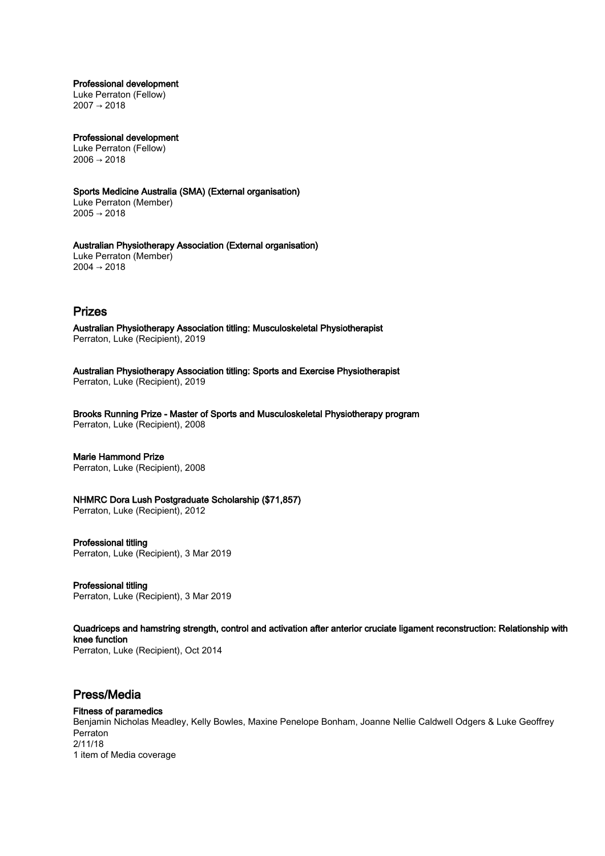Professional development Luke Perraton (Fellow)

2007 → 2018

Professional development Luke Perraton (Fellow)  $2006 \rightarrow 2018$ 

Sports Medicine Australia (SMA) (External organisation) Luke Perraton (Member) 2005 → 2018

Australian Physiotherapy Association (External organisation) Luke Perraton (Member) 2004 → 2018

# Prizes

Australian Physiotherapy Association titling: Musculoskeletal Physiotherapist Perraton, Luke (Recipient), 2019

Australian Physiotherapy Association titling: Sports and Exercise Physiotherapist Perraton, Luke (Recipient), 2019

Brooks Running Prize - Master of Sports and Musculoskeletal Physiotherapy program Perraton, Luke (Recipient), 2008

# Marie Hammond Prize

Perraton, Luke (Recipient), 2008

# NHMRC Dora Lush Postgraduate Scholarship (\$71,857)

Perraton, Luke (Recipient), 2012

# Professional titling

Perraton, Luke (Recipient), 3 Mar 2019

Professional titling Perraton, Luke (Recipient), 3 Mar 2019

Quadriceps and hamstring strength, control and activation after anterior cruciate ligament reconstruction: Relationship with knee function Perraton, Luke (Recipient), Oct 2014

# Press/Media

# Fitness of paramedics

Benjamin Nicholas Meadley, Kelly Bowles, Maxine Penelope Bonham, Joanne Nellie Caldwell Odgers & Luke Geoffrey Perraton 2/11/18 1 item of Media coverage